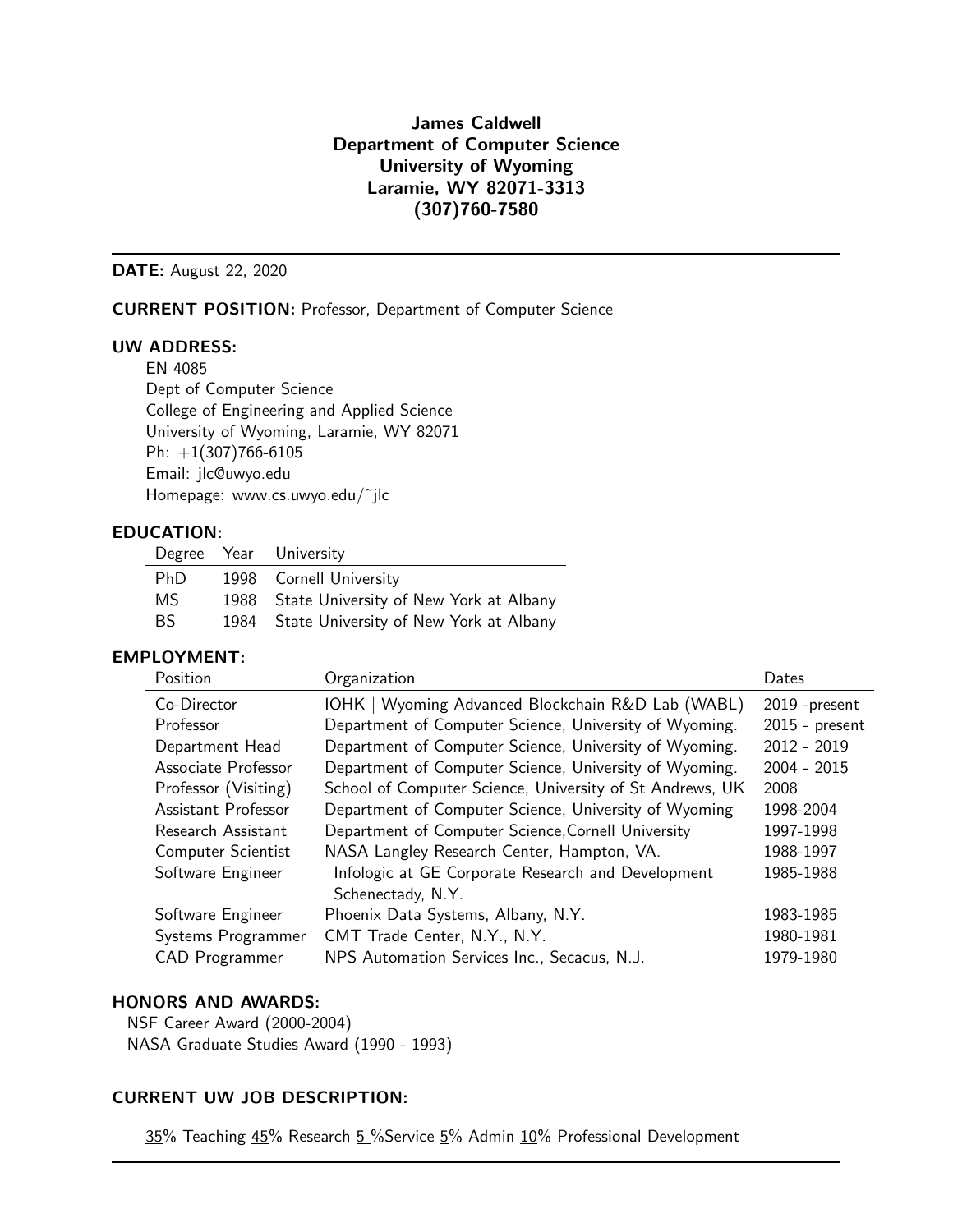## James Caldwell Department of Computer Science University of Wyoming Laramie, WY 82071-3313 (307)760-7580

DATE: August 22, 2020

CURRENT POSITION: Professor, Department of Computer Science

#### UW ADDRESS:

EN 4085 Dept of Computer Science College of Engineering and Applied Science University of Wyoming, Laramie, WY 82071 Ph:  $+1(307)766-6105$ Email: jlc@uwyo.edu Homepage: www.cs.uwyo.edu/˜jlc

#### EDUCATION:

|            | Degree Year University                      |
|------------|---------------------------------------------|
| <b>PhD</b> | 1998 Cornell University                     |
| MS.        | 1988 State University of New York at Albany |
| BS.        | 1984 State University of New York at Albany |

#### EMPLOYMENT:

| Position                  | Organization                                             | Dates            |
|---------------------------|----------------------------------------------------------|------------------|
| Co-Director               | IOHK   Wyoming Advanced Blockchain R&D Lab (WABL)        | 2019 - present   |
| Professor                 | Department of Computer Science, University of Wyoming.   | $2015$ - present |
| Department Head           | Department of Computer Science, University of Wyoming.   | $2012 - 2019$    |
| Associate Professor       | Department of Computer Science, University of Wyoming.   | 2004 - 2015      |
| Professor (Visiting)      | School of Computer Science, University of St Andrews, UK | 2008             |
| Assistant Professor       | Department of Computer Science, University of Wyoming    | 1998-2004        |
| Research Assistant        | Department of Computer Science, Cornell University       | 1997-1998        |
| <b>Computer Scientist</b> | NASA Langley Research Center, Hampton, VA.               | 1988-1997        |
| Software Engineer         | Infologic at GE Corporate Research and Development       | 1985-1988        |
|                           | Schenectady, N.Y.                                        |                  |
| Software Engineer         | Phoenix Data Systems, Albany, N.Y.                       | 1983-1985        |
| Systems Programmer        | CMT Trade Center, N.Y., N.Y.                             | 1980-1981        |
| <b>CAD</b> Programmer     | NPS Automation Services Inc., Secacus, N.J.              | 1979-1980        |
|                           |                                                          |                  |

#### HONORS AND AWARDS:

NSF Career Award (2000-2004) NASA Graduate Studies Award (1990 - 1993)

#### CURRENT UW JOB DESCRIPTION:

35% Teaching 45% Research 5 % Service 5% Admin 10% Professional Development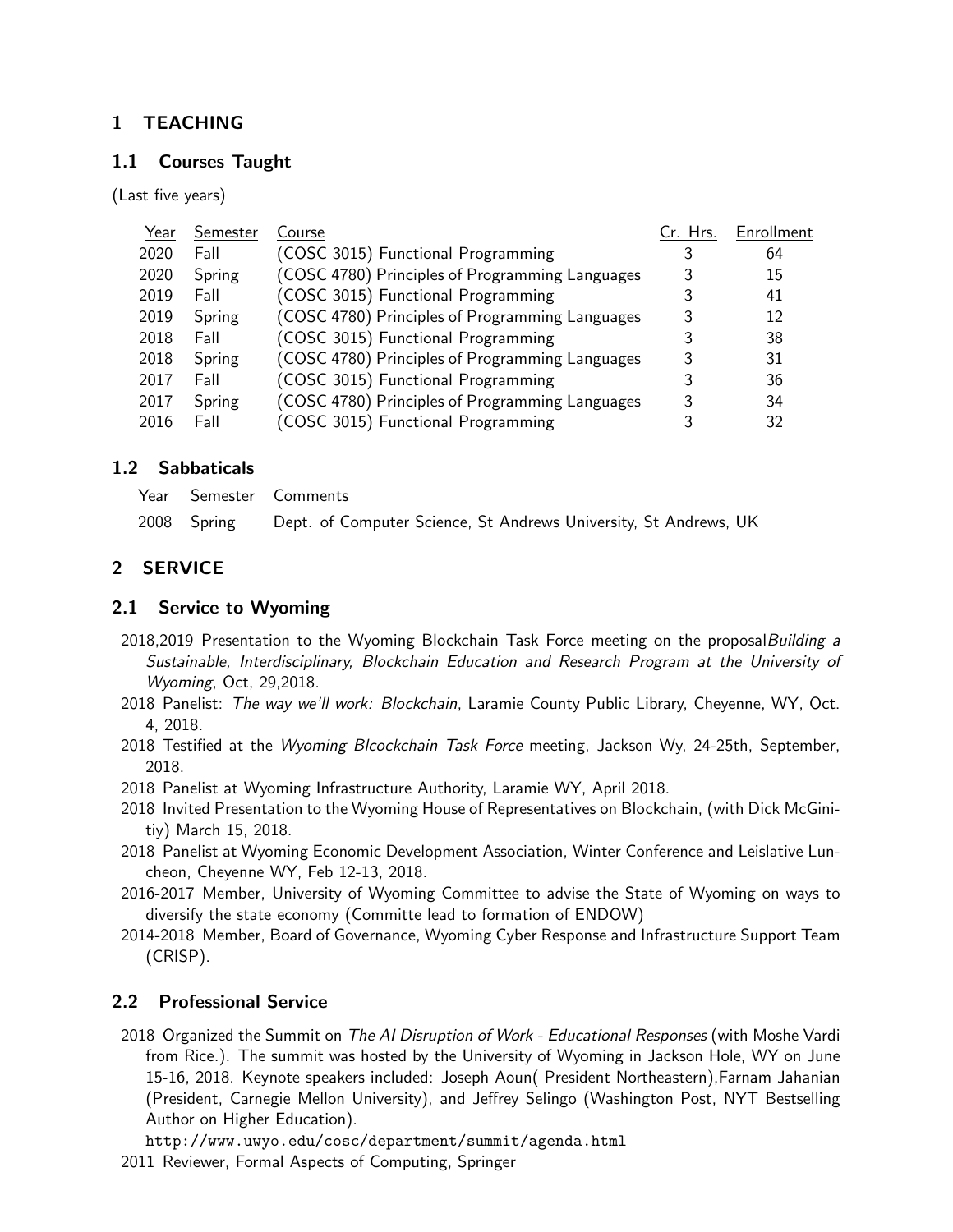## 1 TEACHING

#### 1.1 Courses Taught

(Last five years)

| Year | Semester | Course                                          | Cr. Hrs. | Enrollment |
|------|----------|-------------------------------------------------|----------|------------|
| 2020 | Fall     | (COSC 3015) Functional Programming              |          | 64         |
| 2020 | Spring   | (COSC 4780) Principles of Programming Languages |          | 15         |
| 2019 | Fall     | (COSC 3015) Functional Programming              |          | 41         |
| 2019 | Spring   | (COSC 4780) Principles of Programming Languages |          | 12         |
| 2018 | Fall     | (COSC 3015) Functional Programming              |          | 38         |
| 2018 | Spring   | (COSC 4780) Principles of Programming Languages |          | 31         |
| 2017 | Fall     | (COSC 3015) Functional Programming              |          | 36         |
| 2017 | Spring   | (COSC 4780) Principles of Programming Languages |          | 34         |
| 2016 | Fall     | (COSC 3015) Functional Programming              |          | 32         |

#### 1.2 Sabbaticals

|  | Year Semester Comments                                                       |
|--|------------------------------------------------------------------------------|
|  | 2008 Spring Dept. of Computer Science, St Andrews University, St Andrews, UK |

## 2 SERVICE

#### 2.1 Service to Wyoming

- 2018,2019 Presentation to the Wyoming Blockchain Task Force meeting on the proposal Building a Sustainable, Interdisciplinary, Blockchain Education and Research Program at the University of Wyoming, Oct, 29,2018.
- 2018 Panelist: The way we'll work: Blockchain, Laramie County Public Library, Cheyenne, WY, Oct. 4, 2018.
- 2018 Testified at the Wyoming Blcockchain Task Force meeting, Jackson Wy, 24-25th, September, 2018.
- 2018 Panelist at Wyoming Infrastructure Authority, Laramie WY, April 2018.
- 2018 Invited Presentation to the Wyoming House of Representatives on Blockchain, (with Dick McGinitiy) March 15, 2018.
- 2018 Panelist at Wyoming Economic Development Association, Winter Conference and Leislative Luncheon, Cheyenne WY, Feb 12-13, 2018.
- 2016-2017 Member, University of Wyoming Committee to advise the State of Wyoming on ways to diversify the state economy (Committe lead to formation of ENDOW)
- 2014-2018 Member, Board of Governance, Wyoming Cyber Response and Infrastructure Support Team (CRISP).

## 2.2 Professional Service

2018 Organized the Summit on The AI Disruption of Work - Educational Responses (with Moshe Vardi from Rice.). The summit was hosted by the University of Wyoming in Jackson Hole, WY on June 15-16, 2018. Keynote speakers included: Joseph Aoun( President Northeastern),Farnam Jahanian (President, Carnegie Mellon University), and Jeffrey Selingo (Washington Post, NYT Bestselling Author on Higher Education).

http://www.uwyo.edu/cosc/department/summit/agenda.html

2011 Reviewer, Formal Aspects of Computing, Springer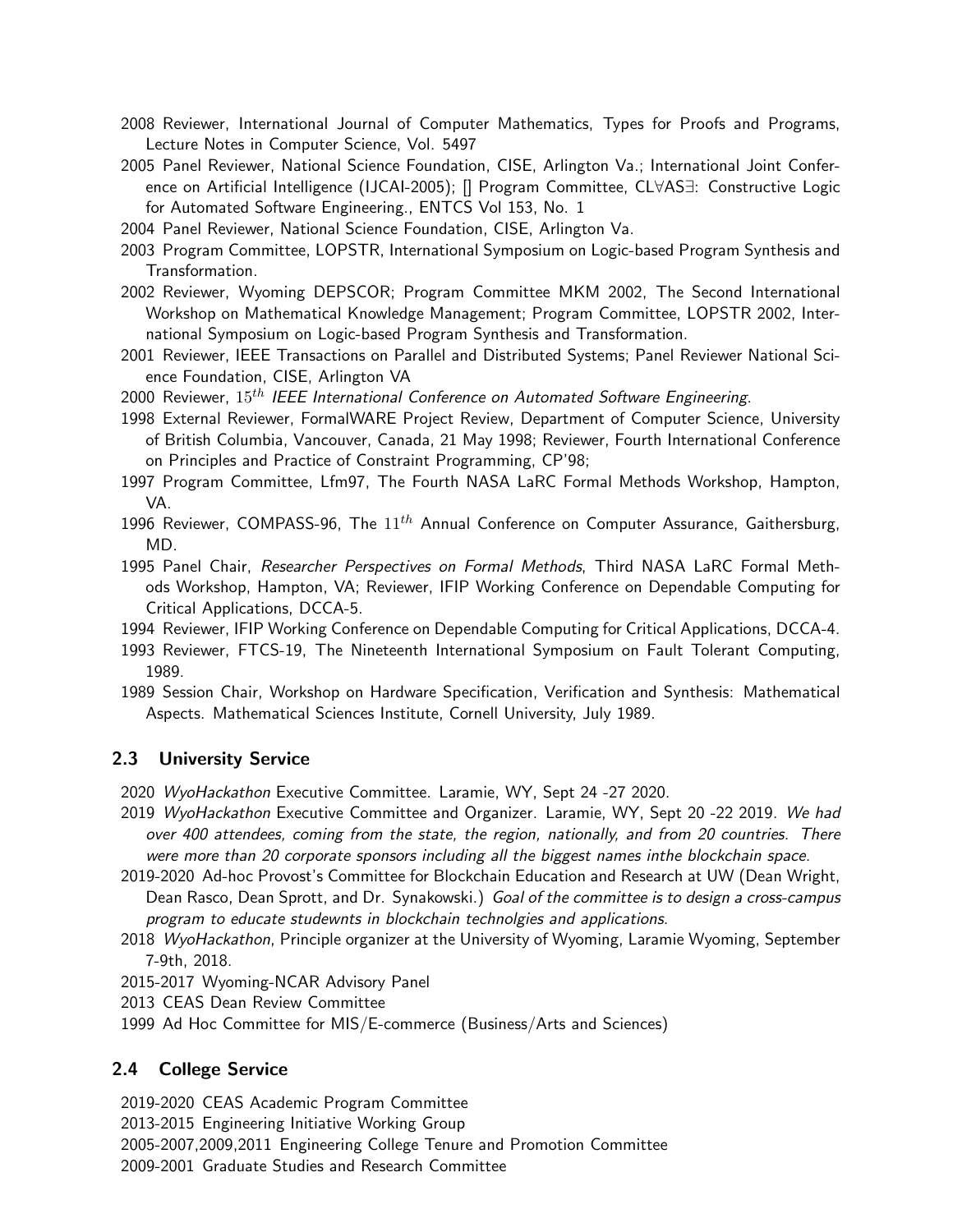- 2008 Reviewer, International Journal of Computer Mathematics, Types for Proofs and Programs, Lecture Notes in Computer Science, Vol. 5497
- 2005 Panel Reviewer, National Science Foundation, CISE, Arlington Va.; International Joint Conference on Artificial Intelligence (IJCAI-2005); [] Program Committee, CL∀AS∃: Constructive Logic for Automated Software Engineering., ENTCS Vol 153, No. 1
- 2004 Panel Reviewer, National Science Foundation, CISE, Arlington Va.
- 2003 Program Committee, LOPSTR, International Symposium on Logic-based Program Synthesis and Transformation.
- 2002 Reviewer, Wyoming DEPSCOR; Program Committee MKM 2002, The Second International Workshop on Mathematical Knowledge Management; Program Committee, LOPSTR 2002, International Symposium on Logic-based Program Synthesis and Transformation.
- 2001 Reviewer, IEEE Transactions on Parallel and Distributed Systems; Panel Reviewer National Science Foundation, CISE, Arlington VA
- 2000 Reviewer,  $15<sup>th</sup>$  IEEE International Conference on Automated Software Engineering.
- 1998 External Reviewer, FormalWARE Project Review, Department of Computer Science, University of British Columbia, Vancouver, Canada, 21 May 1998; Reviewer, Fourth International Conference on Principles and Practice of Constraint Programming, CP'98;
- 1997 Program Committee, Lfm97, The Fourth NASA LaRC Formal Methods Workshop, Hampton, VA.
- 1996 Reviewer, COMPASS-96, The  $11^{th}$  Annual Conference on Computer Assurance, Gaithersburg, MD.
- 1995 Panel Chair, Researcher Perspectives on Formal Methods, Third NASA LaRC Formal Methods Workshop, Hampton, VA; Reviewer, IFIP Working Conference on Dependable Computing for Critical Applications, DCCA-5.
- 1994 Reviewer, IFIP Working Conference on Dependable Computing for Critical Applications, DCCA-4.
- 1993 Reviewer, FTCS-19, The Nineteenth International Symposium on Fault Tolerant Computing, 1989.
- 1989 Session Chair, Workshop on Hardware Specification, Verification and Synthesis: Mathematical Aspects. Mathematical Sciences Institute, Cornell University, July 1989.

## 2.3 University Service

- 2020 WyoHackathon Executive Committee. Laramie, WY, Sept 24 -27 2020.
- 2019 WyoHackathon Executive Committee and Organizer. Laramie, WY, Sept 20 -22 2019. We had over 400 attendees, coming from the state, the region, nationally, and from 20 countries. There were more than 20 corporate sponsors including all the biggest names inthe blockchain space.
- 2019-2020 Ad-hoc Provost's Committee for Blockchain Education and Research at UW (Dean Wright, Dean Rasco, Dean Sprott, and Dr. Synakowski.) Goal of the committee is to design a cross-campus program to educate studewnts in blockchain technolgies and applications.
- 2018 WyoHackathon, Principle organizer at the University of Wyoming, Laramie Wyoming, September 7-9th, 2018.
- 2015-2017 Wyoming-NCAR Advisory Panel
- 2013 CEAS Dean Review Committee
- 1999 Ad Hoc Committee for MIS/E-commerce (Business/Arts and Sciences)

## 2.4 College Service

2019-2020 CEAS Academic Program Committee

2013-2015 Engineering Initiative Working Group

2005-2007,2009,2011 Engineering College Tenure and Promotion Committee

2009-2001 Graduate Studies and Research Committee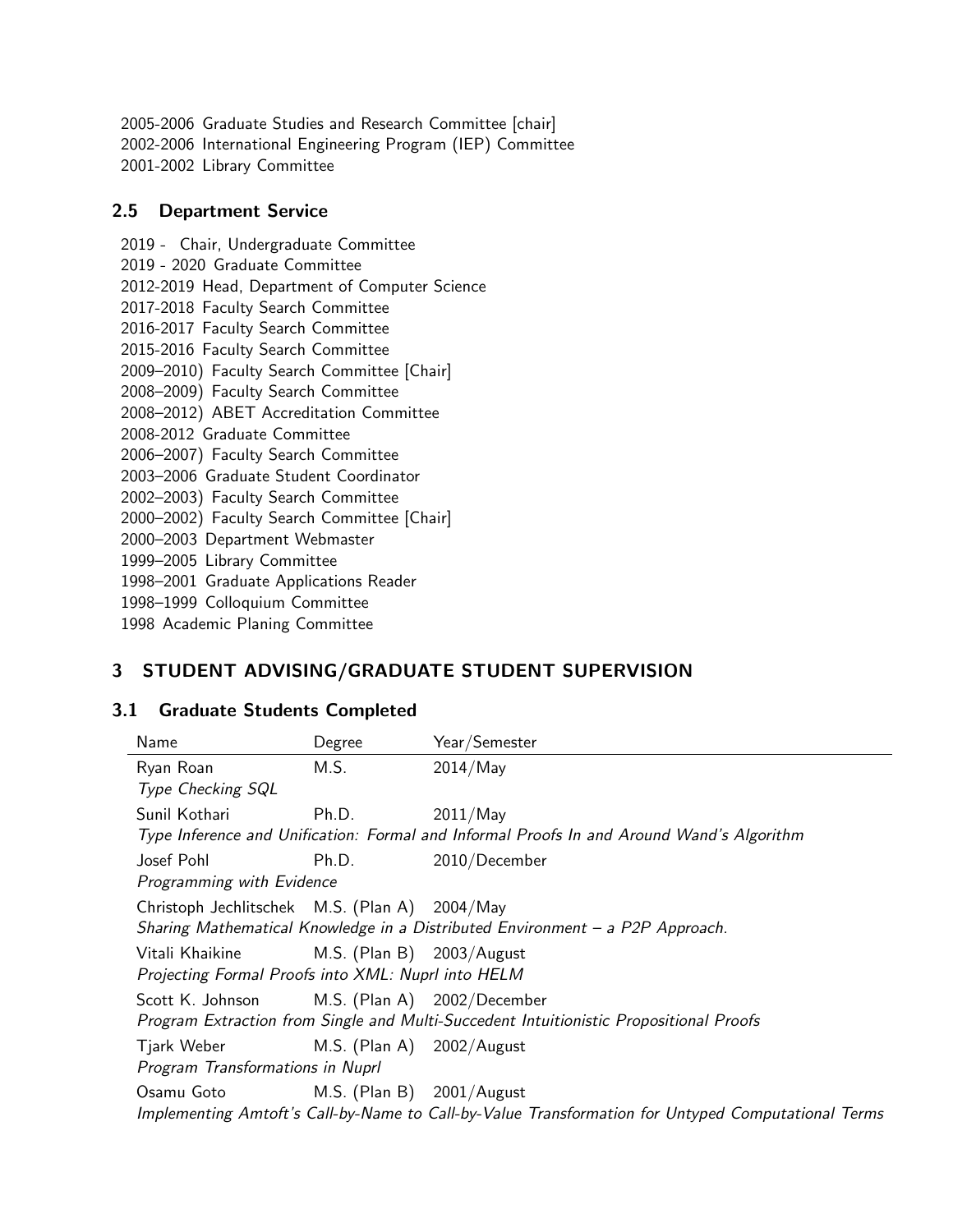2005-2006 Graduate Studies and Research Committee [chair] 2002-2006 International Engineering Program (IEP) Committee 2001-2002 Library Committee

#### 2.5 Department Service

2019 - Chair, Undergraduate Committee 2019 - 2020 Graduate Committee 2012-2019 Head, Department of Computer Science 2017-2018 Faculty Search Committee 2016-2017 Faculty Search Committee 2015-2016 Faculty Search Committee 2009–2010) Faculty Search Committee [Chair] 2008–2009) Faculty Search Committee 2008–2012) ABET Accreditation Committee 2008-2012 Graduate Committee 2006–2007) Faculty Search Committee 2003–2006 Graduate Student Coordinator 2002–2003) Faculty Search Committee 2000–2002) Faculty Search Committee [Chair] 2000–2003 Department Webmaster 1999–2005 Library Committee 1998–2001 Graduate Applications Reader 1998–1999 Colloquium Committee 1998 Academic Planing Committee

## 3 STUDENT ADVISING/GRADUATE STUDENT SUPERVISION

## 3.1 Graduate Students Completed

| Name                                                                                               | Degree                       | Year/Semester                                                                             |  |  |
|----------------------------------------------------------------------------------------------------|------------------------------|-------------------------------------------------------------------------------------------|--|--|
| Ryan Roan                                                                                          | M.S.                         | 2014/May                                                                                  |  |  |
| Type Checking SQL                                                                                  |                              |                                                                                           |  |  |
| Sunil Kothari                                                                                      | Ph.D.                        | $2011/M$ ay                                                                               |  |  |
|                                                                                                    |                              | Type Inference and Unification: Formal and Informal Proofs In and Around Wand's Algorithm |  |  |
| Josef Pohl                                                                                         | Ph.D.                        | 2010/December                                                                             |  |  |
| Programming with Evidence                                                                          |                              |                                                                                           |  |  |
| Christoph Jechlitschek M.S. (Plan A) 2004/May                                                      |                              |                                                                                           |  |  |
|                                                                                                    |                              | Sharing Mathematical Knowledge in a Distributed Environment - a P2P Approach.             |  |  |
| Vitali Khaikine                                                                                    | M.S. (Plan B) $2003/August$  |                                                                                           |  |  |
| Projecting Formal Proofs into XML: Nuprl into HELM                                                 |                              |                                                                                           |  |  |
| Scott K. Johnson                                                                                   |                              | M.S. (Plan A) 2002/December                                                               |  |  |
|                                                                                                    |                              | Program Extraction from Single and Multi-Succedent Intuitionistic Propositional Proofs    |  |  |
| Tjark Weber                                                                                        | M.S. (Plan A) 2002/August    |                                                                                           |  |  |
| Program Transformations in Nuprl                                                                   |                              |                                                                                           |  |  |
| Osamu Goto                                                                                         | M.S. (Plan B) $2001/A$ ugust |                                                                                           |  |  |
| Implementing Amtoft's Call-by-Name to Call-by-Value Transformation for Untyped Computational Terms |                              |                                                                                           |  |  |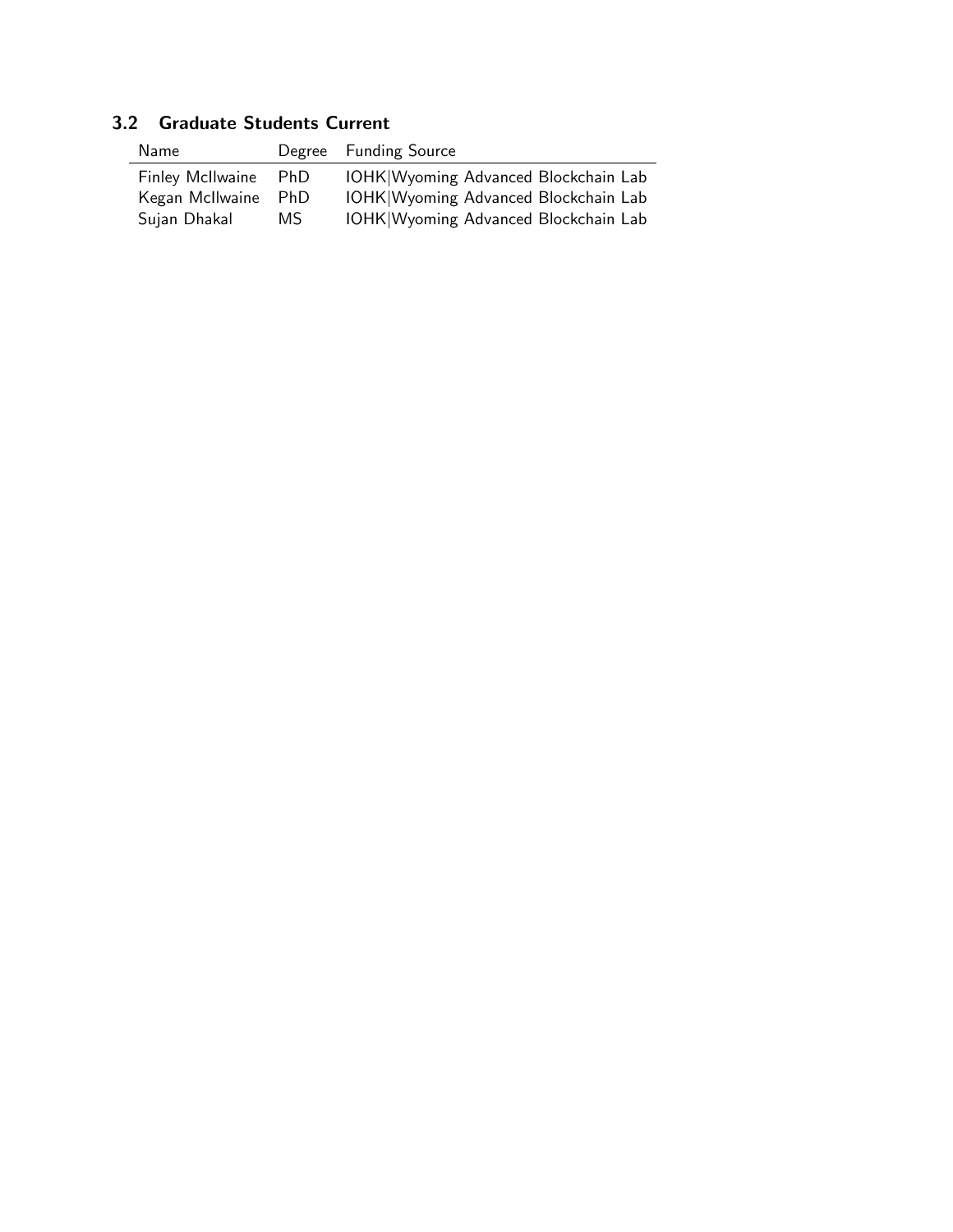| Name                 |     | Degree Funding Source                |
|----------------------|-----|--------------------------------------|
| Finley McIlwaine PhD |     | IOHK Wyoming Advanced Blockchain Lab |
| Kegan McIlwaine PhD  |     | IOHK Wyoming Advanced Blockchain Lab |
| Sujan Dhakal         | MS. | IOHK Wyoming Advanced Blockchain Lab |

## 3.2 Graduate Students Current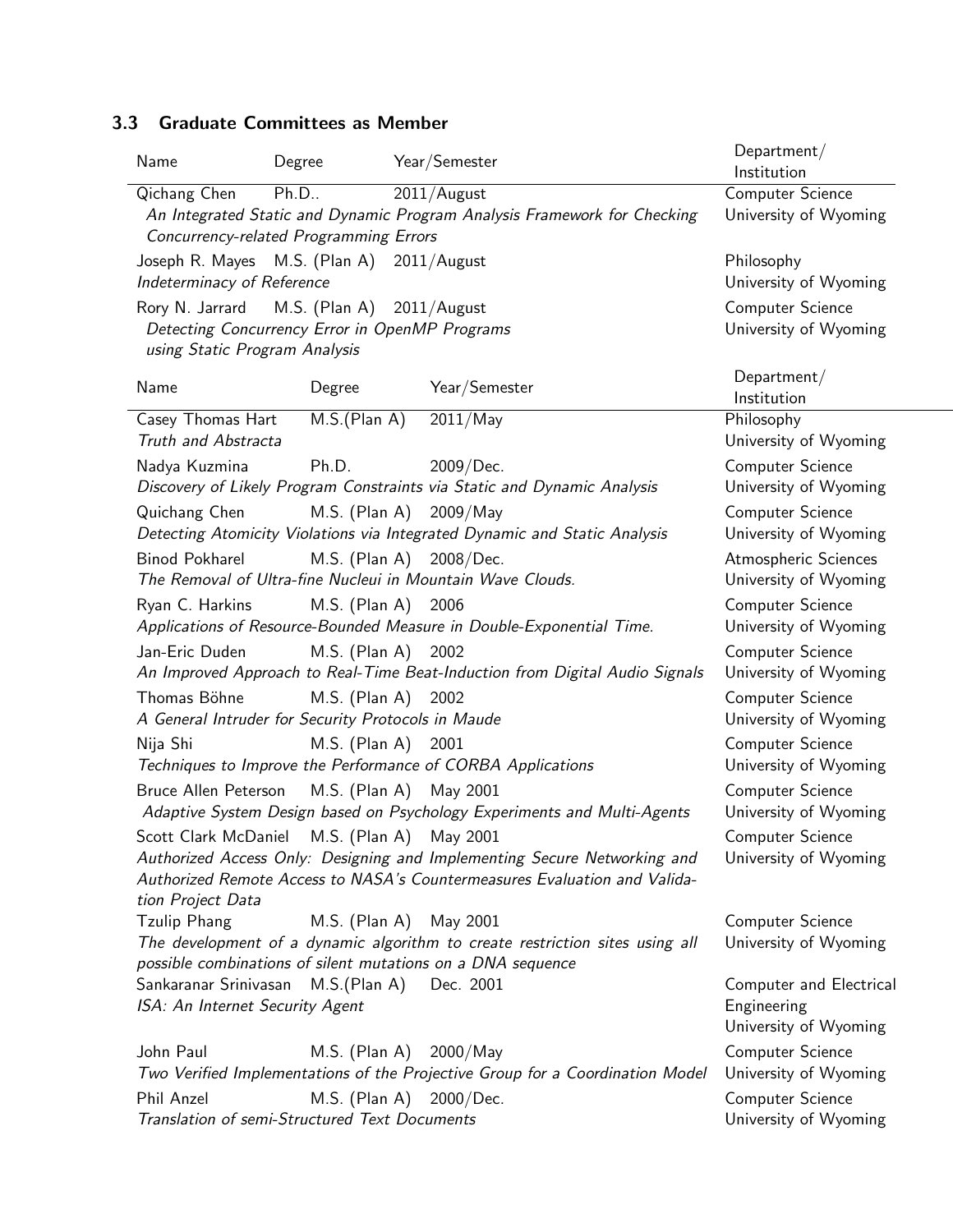## 3.3 Graduate Committees as Member

| Name                                                                                     | Degree                                         | Year/Semester                                                                 | Department/<br>Institution           |  |  |
|------------------------------------------------------------------------------------------|------------------------------------------------|-------------------------------------------------------------------------------|--------------------------------------|--|--|
| Qichang Chen                                                                             | Ph.D                                           | 2011/August                                                                   | Computer Science                     |  |  |
|                                                                                          | Concurrency-related Programming Errors         | An Integrated Static and Dynamic Program Analysis Framework for Checking      | University of Wyoming                |  |  |
| Joseph R. Mayes M.S. (Plan A) 2011/August                                                |                                                |                                                                               | Philosophy                           |  |  |
| Indeterminacy of Reference                                                               |                                                |                                                                               | University of Wyoming                |  |  |
| Rory N. Jarrard M.S. (Plan A) 2011/August                                                |                                                |                                                                               | Computer Science                     |  |  |
|                                                                                          | Detecting Concurrency Error in OpenMP Programs |                                                                               | University of Wyoming                |  |  |
| using Static Program Analysis                                                            |                                                |                                                                               |                                      |  |  |
| Name                                                                                     | Degree                                         | Year/Semester                                                                 | Department/<br>Institution           |  |  |
| Casey Thomas Hart                                                                        | M.S.(Plan A)                                   | 2011/May                                                                      | Philosophy                           |  |  |
| Truth and Abstracta                                                                      |                                                |                                                                               | University of Wyoming                |  |  |
| Nadya Kuzmina                                                                            | Ph.D.                                          | 2009/Dec.                                                                     | Computer Science                     |  |  |
|                                                                                          |                                                | Discovery of Likely Program Constraints via Static and Dynamic Analysis       | University of Wyoming                |  |  |
| Quichang Chen M.S. (Plan A) 2009/May                                                     |                                                |                                                                               | Computer Science                     |  |  |
|                                                                                          |                                                | Detecting Atomicity Violations via Integrated Dynamic and Static Analysis     | University of Wyoming                |  |  |
| Binod Pokharel                                                                           | M.S. (Plan A)                                  | 2008/Dec.                                                                     | Atmospheric Sciences                 |  |  |
|                                                                                          |                                                | The Removal of Ultra-fine Nucleui in Mountain Wave Clouds.                    | University of Wyoming                |  |  |
| Ryan C. Harkins                                                                          | M.S. (Plan A)                                  | 2006                                                                          | Computer Science                     |  |  |
|                                                                                          |                                                | Applications of Resource-Bounded Measure in Double-Exponential Time.          | University of Wyoming                |  |  |
| Jan-Eric Duden                                                                           | M.S. (Plan A)                                  | 2002                                                                          | Computer Science                     |  |  |
| An Improved Approach to Real-Time Beat-Induction from Digital Audio Signals              | University of Wyoming                          |                                                                               |                                      |  |  |
| Thomas Böhne                                                                             | M.S. (Plan A)                                  | 2002                                                                          | Computer Science                     |  |  |
| A General Intruder for Security Protocols in Maude                                       |                                                |                                                                               | University of Wyoming                |  |  |
| Nija Shi                                                                                 | $M.S.$ (Plan A)                                | 2001                                                                          | Computer Science                     |  |  |
|                                                                                          |                                                | Techniques to Improve the Performance of CORBA Applications                   | University of Wyoming                |  |  |
| Bruce Allen Peterson M.S. (Plan A)                                                       |                                                | May 2001                                                                      | Computer Science                     |  |  |
|                                                                                          |                                                | Adaptive System Design based on Psychology Experiments and Multi-Agents       | University of Wyoming                |  |  |
| Scott Clark McDaniel M.S. (Plan A) May 2001                                              |                                                |                                                                               | Computer Science                     |  |  |
|                                                                                          |                                                | Authorized Access Only: Designing and Implementing Secure Networking and      | University of Wyoming                |  |  |
| Authorized Remote Access to NASA's Countermeasures Evaluation and Valida-                |                                                |                                                                               |                                      |  |  |
| tion Project Data                                                                        |                                                |                                                                               |                                      |  |  |
| <b>Tzulip Phang</b>                                                                      |                                                | M.S. (Plan A) May 2001                                                        | Computer Science                     |  |  |
|                                                                                          |                                                | The development of a dynamic algorithm to create restriction sites using all  | University of Wyoming                |  |  |
| possible combinations of silent mutations on a DNA sequence<br>M.S.(Plan A)<br>Dec. 2001 |                                                |                                                                               |                                      |  |  |
| Sankaranar Srinivasan                                                                    | Computer and Electrical                        |                                                                               |                                      |  |  |
| ISA: An Internet Security Agent                                                          |                                                |                                                                               | Engineering<br>University of Wyoming |  |  |
|                                                                                          |                                                |                                                                               |                                      |  |  |
| John Paul                                                                                |                                                | M.S. (Plan A) $2000/May$                                                      | Computer Science                     |  |  |
|                                                                                          |                                                | Two Verified Implementations of the Projective Group for a Coordination Model | University of Wyoming                |  |  |
| Phil Anzel                                                                               | Translation of semi-Structured Text Documents  | M.S. (Plan A) 2000/Dec.                                                       | Computer Science                     |  |  |
|                                                                                          |                                                |                                                                               | University of Wyoming                |  |  |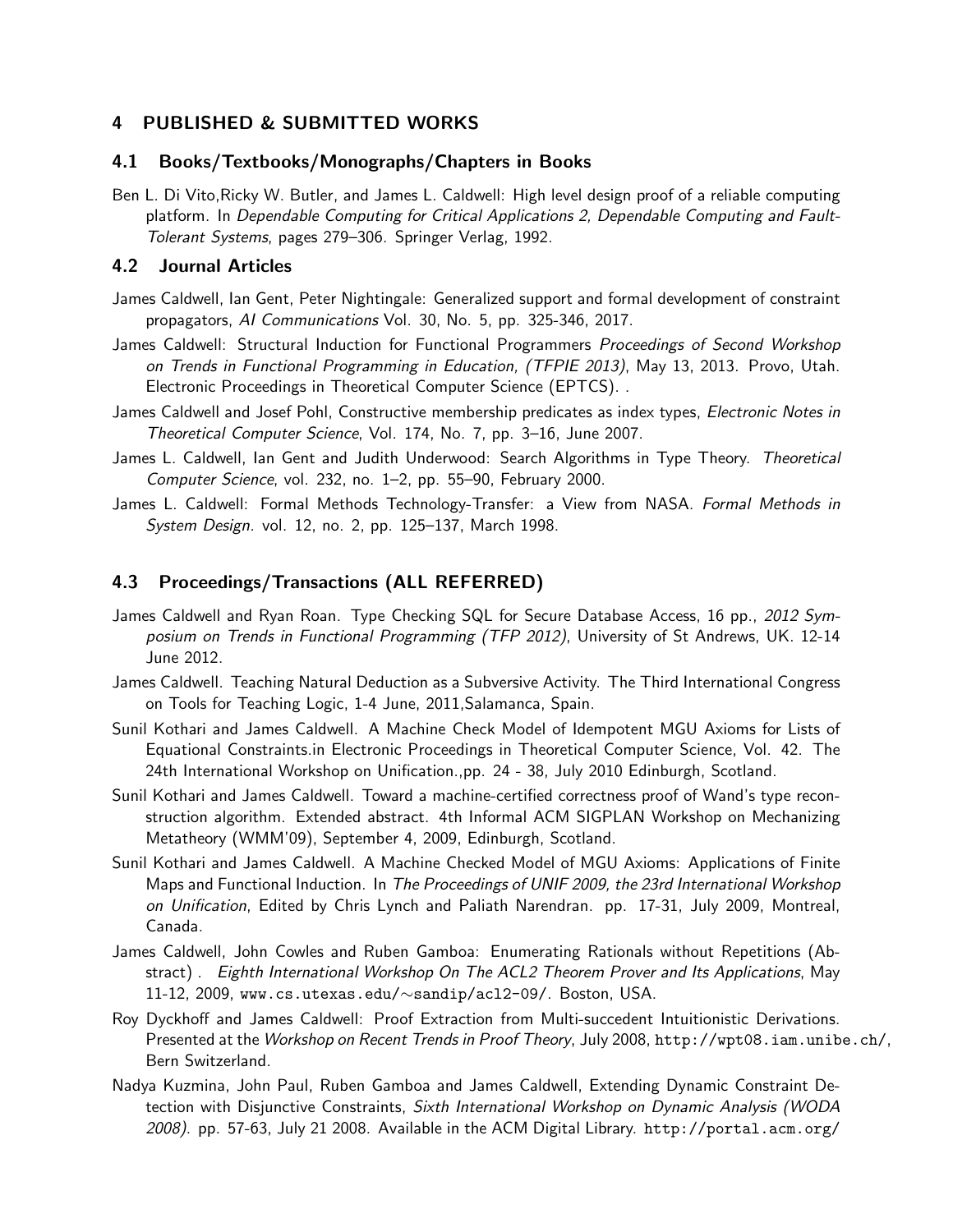### 4 PUBLISHED & SUBMITTED WORKS

#### 4.1 Books/Textbooks/Monographs/Chapters in Books

Ben L. Di Vito,Ricky W. Butler, and James L. Caldwell: High level design proof of a reliable computing platform. In Dependable Computing for Critical Applications 2, Dependable Computing and Fault-Tolerant Systems, pages 279–306. Springer Verlag, 1992.

#### 4.2 Journal Articles

- James Caldwell, Ian Gent, Peter Nightingale: Generalized support and formal development of constraint propagators, AI Communications Vol. 30, No. 5, pp. 325-346, 2017.
- James Caldwell: Structural Induction for Functional Programmers Proceedings of Second Workshop on Trends in Functional Programming in Education, (TFPIE 2013), May 13, 2013. Provo, Utah. Electronic Proceedings in Theoretical Computer Science (EPTCS). .
- James Caldwell and Josef Pohl, Constructive membership predicates as index types, Electronic Notes in Theoretical Computer Science, Vol. 174, No. 7, pp. 3–16, June 2007.
- James L. Caldwell, Ian Gent and Judith Underwood: Search Algorithms in Type Theory. Theoretical Computer Science, vol. 232, no. 1–2, pp. 55–90, February 2000.
- James L. Caldwell: Formal Methods Technology-Transfer: a View from NASA. Formal Methods in System Design. vol. 12, no. 2, pp. 125–137, March 1998.

## 4.3 Proceedings/Transactions (ALL REFERRED)

- James Caldwell and Ryan Roan. Type Checking SQL for Secure Database Access, 16 pp., 2012 Symposium on Trends in Functional Programming (TFP 2012), University of St Andrews, UK. 12-14 June 2012.
- James Caldwell. Teaching Natural Deduction as a Subversive Activity. The Third International Congress on Tools for Teaching Logic, 1-4 June, 2011,Salamanca, Spain.
- Sunil Kothari and James Caldwell. A Machine Check Model of Idempotent MGU Axioms for Lists of Equational Constraints.in Electronic Proceedings in Theoretical Computer Science, Vol. 42. The 24th International Workshop on Unification.,pp. 24 - 38, July 2010 Edinburgh, Scotland.
- Sunil Kothari and James Caldwell. Toward a machine-certified correctness proof of Wand's type reconstruction algorithm. Extended abstract. 4th Informal ACM SIGPLAN Workshop on Mechanizing Metatheory (WMM'09), September 4, 2009, Edinburgh, Scotland.
- Sunil Kothari and James Caldwell. A Machine Checked Model of MGU Axioms: Applications of Finite Maps and Functional Induction. In The Proceedings of UNIF 2009, the 23rd International Workshop on Unification, Edited by Chris Lynch and Paliath Narendran. pp. 17-31, July 2009, Montreal, Canada.
- James Caldwell, John Cowles and Ruben Gamboa: Enumerating Rationals without Repetitions (Abstract) . Eighth International Workshop On The ACL2 Theorem Prover and Its Applications, May 11-12, 2009, www.cs.utexas.edu/∼sandip/acl2-09/. Boston, USA.
- Roy Dyckhoff and James Caldwell: Proof Extraction from Multi-succedent Intuitionistic Derivations. Presented at the Workshop on Recent Trends in Proof Theory, July 2008, http://wpt08.iam.unibe.ch/, Bern Switzerland.
- Nadya Kuzmina, John Paul, Ruben Gamboa and James Caldwell, Extending Dynamic Constraint Detection with Disjunctive Constraints, Sixth International Workshop on Dynamic Analysis (WODA 2008). pp. 57-63, July 21 2008. Available in the ACM Digital Library. http://portal.acm.org/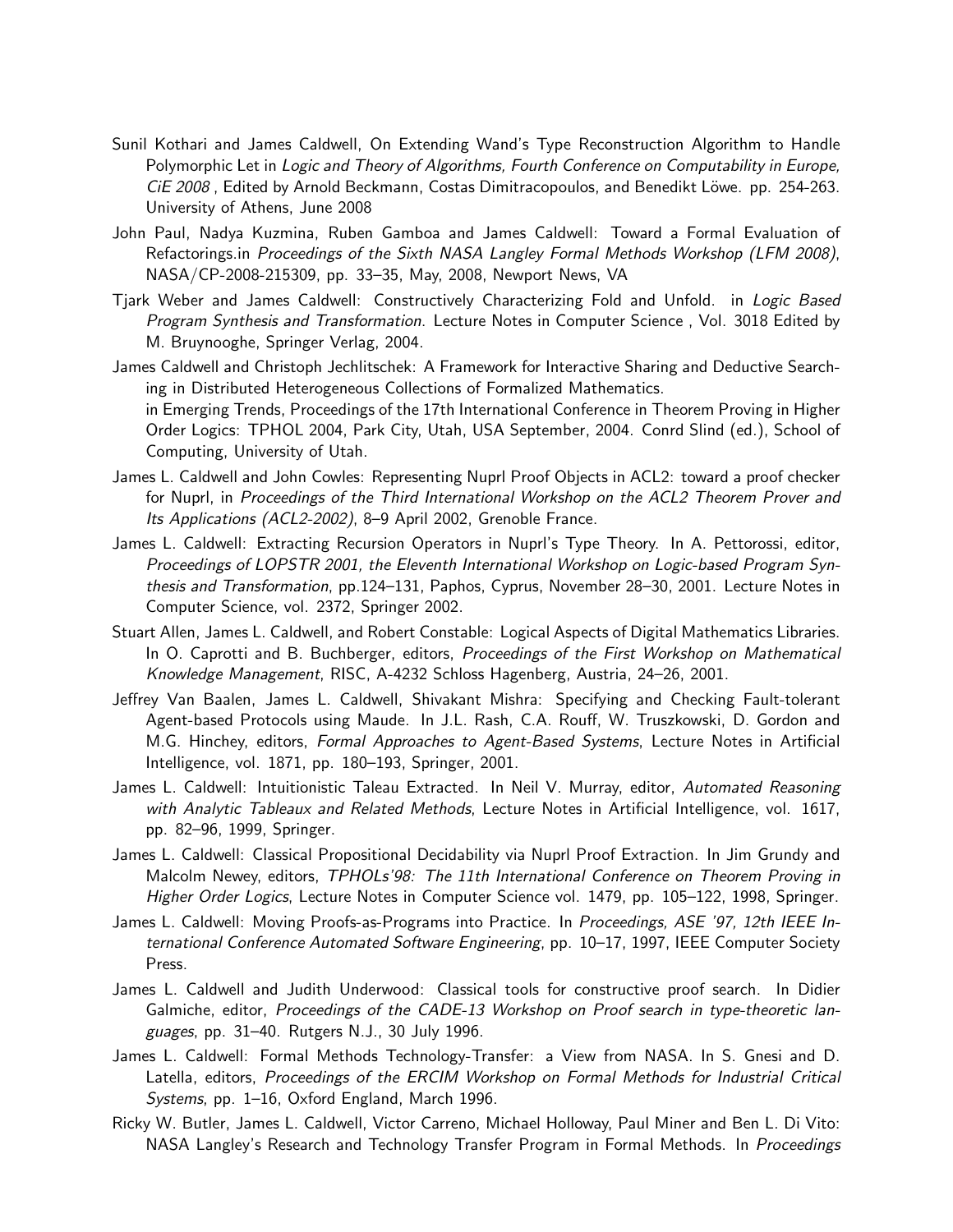- Sunil Kothari and James Caldwell, On Extending Wand's Type Reconstruction Algorithm to Handle Polymorphic Let in Logic and Theory of Algorithms, Fourth Conference on Computability in Europe, CiE 2008, Edited by Arnold Beckmann, Costas Dimitracopoulos, and Benedikt Löwe. pp. 254-263. University of Athens, June 2008
- John Paul, Nadya Kuzmina, Ruben Gamboa and James Caldwell: Toward a Formal Evaluation of Refactorings.in Proceedings of the Sixth NASA Langley Formal Methods Workshop (LFM 2008), NASA/CP-2008-215309, pp. 33–35, May, 2008, Newport News, VA
- Tjark Weber and James Caldwell: Constructively Characterizing Fold and Unfold. in Logic Based Program Synthesis and Transformation. Lecture Notes in Computer Science , Vol. 3018 Edited by M. Bruynooghe, Springer Verlag, 2004.
- James Caldwell and Christoph Jechlitschek: A Framework for Interactive Sharing and Deductive Searching in Distributed Heterogeneous Collections of Formalized Mathematics. in Emerging Trends, Proceedings of the 17th International Conference in Theorem Proving in Higher Order Logics: TPHOL 2004, Park City, Utah, USA September, 2004. Conrd Slind (ed.), School of Computing, University of Utah.
- James L. Caldwell and John Cowles: Representing Nuprl Proof Objects in ACL2: toward a proof checker for Nuprl, in Proceedings of the Third International Workshop on the ACL2 Theorem Prover and Its Applications (ACL2-2002), 8–9 April 2002, Grenoble France.
- James L. Caldwell: Extracting Recursion Operators in Nuprl's Type Theory. In A. Pettorossi, editor, Proceedings of LOPSTR 2001, the Eleventh International Workshop on Logic-based Program Synthesis and Transformation, pp.124–131, Paphos, Cyprus, November 28–30, 2001. Lecture Notes in Computer Science, vol. 2372, Springer 2002.
- Stuart Allen, James L. Caldwell, and Robert Constable: Logical Aspects of Digital Mathematics Libraries. In O. Caprotti and B. Buchberger, editors, Proceedings of the First Workshop on Mathematical Knowledge Management, RISC, A-4232 Schloss Hagenberg, Austria, 24–26, 2001.
- Jeffrey Van Baalen, James L. Caldwell, Shivakant Mishra: Specifying and Checking Fault-tolerant Agent-based Protocols using Maude. In J.L. Rash, C.A. Rouff, W. Truszkowski, D. Gordon and M.G. Hinchey, editors, Formal Approaches to Agent-Based Systems, Lecture Notes in Artificial Intelligence, vol. 1871, pp. 180–193, Springer, 2001.
- James L. Caldwell: Intuitionistic Taleau Extracted. In Neil V. Murray, editor, Automated Reasoning with Analytic Tableaux and Related Methods, Lecture Notes in Artificial Intelligence, vol. 1617, pp. 82–96, 1999, Springer.
- James L. Caldwell: Classical Propositional Decidability via Nuprl Proof Extraction. In Jim Grundy and Malcolm Newey, editors, TPHOLs'98: The 11th International Conference on Theorem Proving in Higher Order Logics, Lecture Notes in Computer Science vol. 1479, pp. 105-122, 1998, Springer.
- James L. Caldwell: Moving Proofs-as-Programs into Practice. In Proceedings, ASE '97, 12th IEEE International Conference Automated Software Engineering, pp. 10–17, 1997, IEEE Computer Society Press.
- James L. Caldwell and Judith Underwood: Classical tools for constructive proof search. In Didier Galmiche, editor, Proceedings of the CADE-13 Workshop on Proof search in type-theoretic languages, pp. 31–40. Rutgers N.J., 30 July 1996.
- James L. Caldwell: Formal Methods Technology-Transfer: a View from NASA. In S. Gnesi and D. Latella, editors, Proceedings of the ERCIM Workshop on Formal Methods for Industrial Critical Systems, pp. 1–16, Oxford England, March 1996.
- Ricky W. Butler, James L. Caldwell, Victor Carreno, Michael Holloway, Paul Miner and Ben L. Di Vito: NASA Langley's Research and Technology Transfer Program in Formal Methods. In Proceedings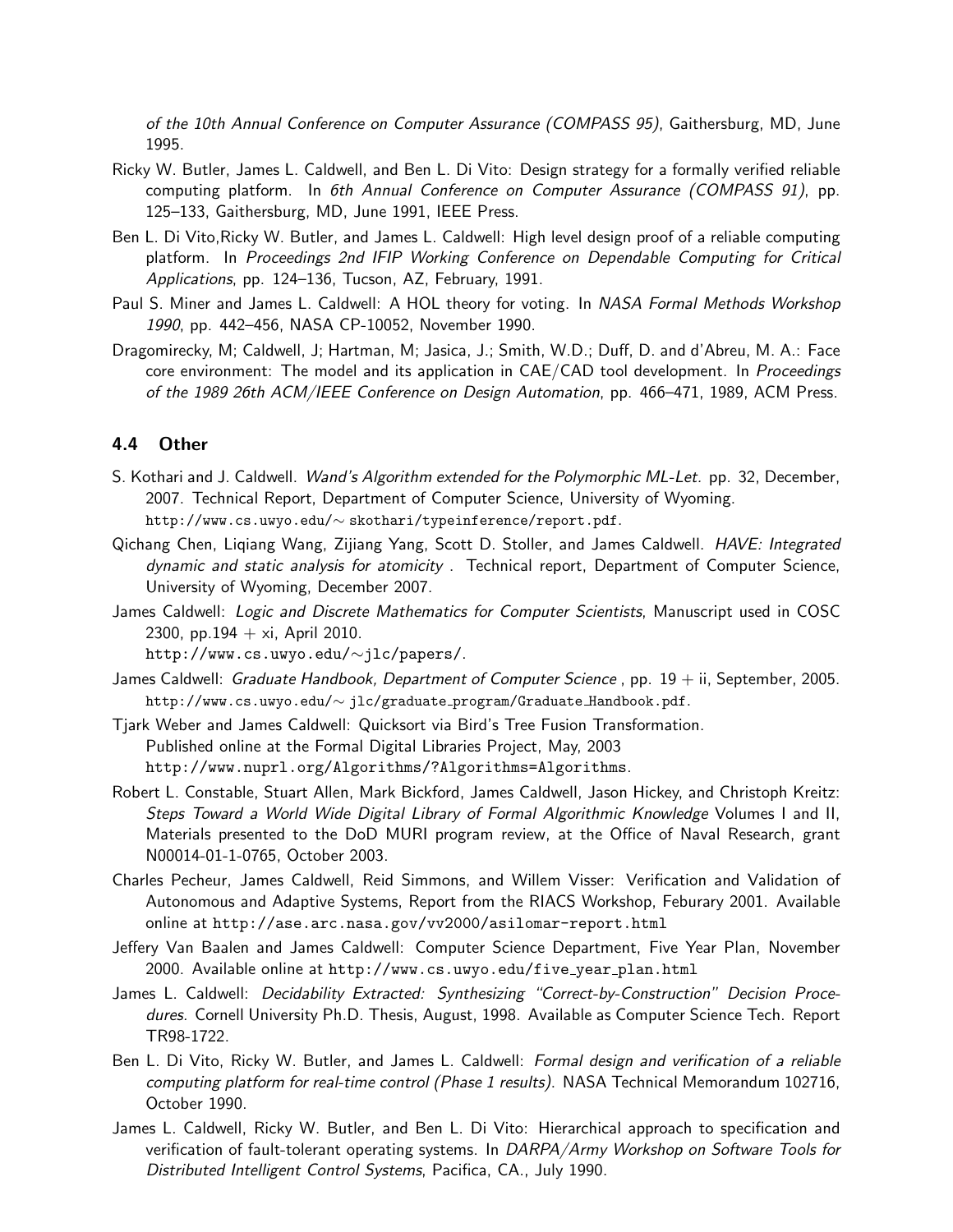of the 10th Annual Conference on Computer Assurance (COMPASS 95), Gaithersburg, MD, June 1995.

- Ricky W. Butler, James L. Caldwell, and Ben L. Di Vito: Design strategy for a formally verified reliable computing platform. In 6th Annual Conference on Computer Assurance (COMPASS 91), pp. 125–133, Gaithersburg, MD, June 1991, IEEE Press.
- Ben L. Di Vito,Ricky W. Butler, and James L. Caldwell: High level design proof of a reliable computing platform. In Proceedings 2nd IFIP Working Conference on Dependable Computing for Critical Applications, pp. 124–136, Tucson, AZ, February, 1991.
- Paul S. Miner and James L. Caldwell: A HOL theory for voting. In NASA Formal Methods Workshop 1990, pp. 442–456, NASA CP-10052, November 1990.
- Dragomirecky, M; Caldwell, J; Hartman, M; Jasica, J.; Smith, W.D.; Duff, D. and d'Abreu, M. A.: Face core environment: The model and its application in CAE/CAD tool development. In Proceedings of the 1989 26th ACM/IEEE Conference on Design Automation, pp. 466–471, 1989, ACM Press.

#### 4.4 Other

- S. Kothari and J. Caldwell. Wand's Algorithm extended for the Polymorphic ML-Let. pp. 32, December, 2007. Technical Report, Department of Computer Science, University of Wyoming. http://www.cs.uwyo.edu/∼ skothari/typeinference/report.pdf.
- Qichang Chen, Liqiang Wang, Zijiang Yang, Scott D. Stoller, and James Caldwell. HAVE: Integrated dynamic and static analysis for atomicity . Technical report, Department of Computer Science, University of Wyoming, December 2007.
- James Caldwell: *Logic and Discrete Mathematics for Computer Scientists*, Manuscript used in COSC 2300, pp.194  $+$  xi, April 2010.

http://www.cs.uwyo.edu/∼jlc/papers/.

- James Caldwell: Graduate Handbook, Department of Computer Science, pp.  $19 + i$ , September, 2005. http://www.cs.uwyo.edu/∼ jlc/graduate program/Graduate Handbook.pdf.
- Tjark Weber and James Caldwell: Quicksort via Bird's Tree Fusion Transformation. Published online at the Formal Digital Libraries Project, May, 2003 http://www.nuprl.org/Algorithms/?Algorithms=Algorithms.
- Robert L. Constable, Stuart Allen, Mark Bickford, James Caldwell, Jason Hickey, and Christoph Kreitz: Steps Toward a World Wide Digital Library of Formal Algorithmic Knowledge Volumes I and II, Materials presented to the DoD MURI program review, at the Office of Naval Research, grant N00014-01-1-0765, October 2003.
- Charles Pecheur, James Caldwell, Reid Simmons, and Willem Visser: Verification and Validation of Autonomous and Adaptive Systems, Report from the RIACS Workshop, Feburary 2001. Available online at http://ase.arc.nasa.gov/vv2000/asilomar-report.html
- Jeffery Van Baalen and James Caldwell: Computer Science Department, Five Year Plan, November 2000. Available online at http://www.cs.uwyo.edu/five year plan.html
- James L. Caldwell: Decidability Extracted: Synthesizing "Correct-by-Construction" Decision Procedures. Cornell University Ph.D. Thesis, August, 1998. Available as Computer Science Tech. Report TR98-1722.
- Ben L. Di Vito, Ricky W. Butler, and James L. Caldwell: Formal design and verification of a reliable computing platform for real-time control (Phase 1 results). NASA Technical Memorandum 102716, October 1990.
- James L. Caldwell, Ricky W. Butler, and Ben L. Di Vito: Hierarchical approach to specification and verification of fault-tolerant operating systems. In DARPA/Army Workshop on Software Tools for Distributed Intelligent Control Systems, Pacifica, CA., July 1990.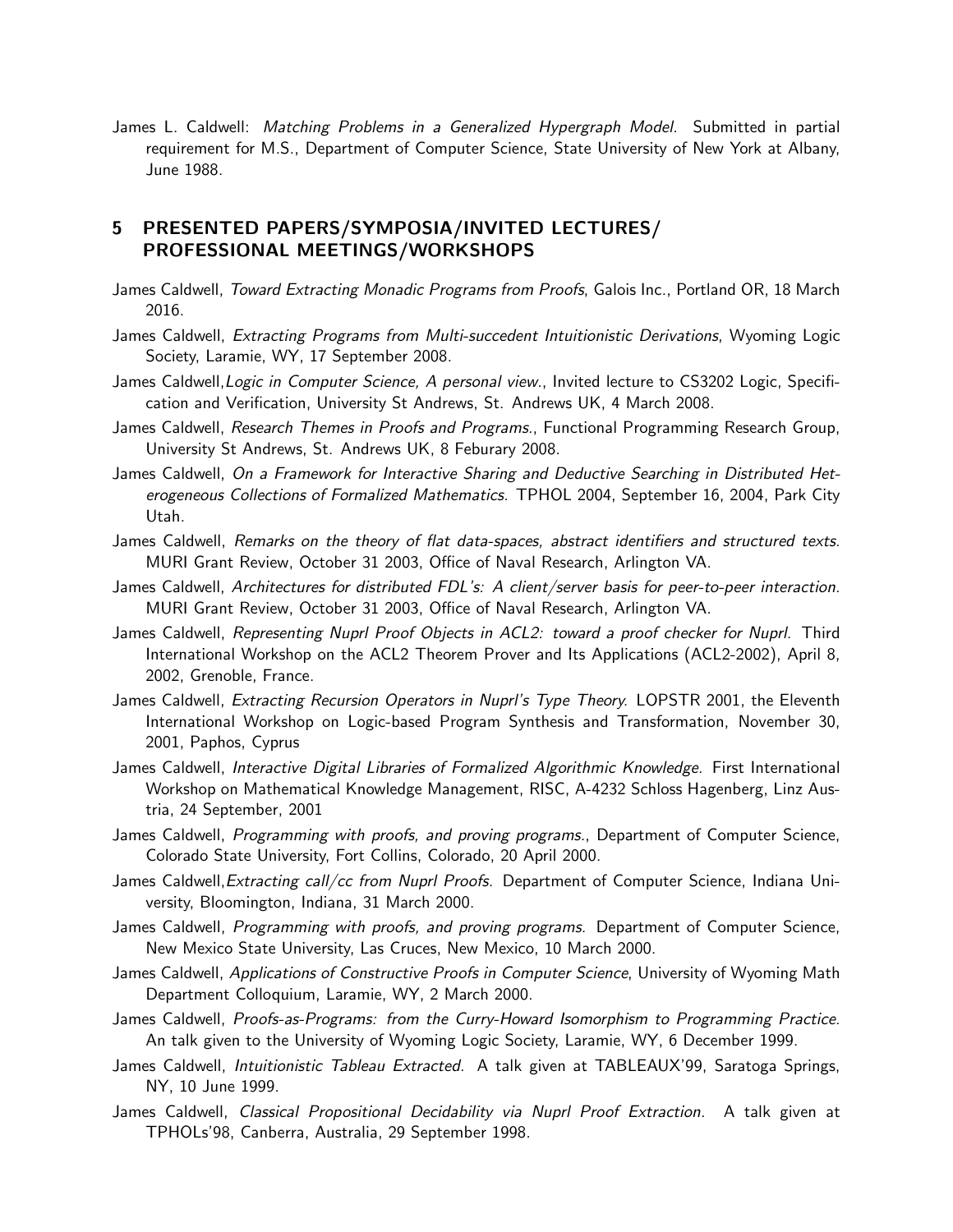James L. Caldwell: Matching Problems in a Generalized Hypergraph Model. Submitted in partial requirement for M.S., Department of Computer Science, State University of New York at Albany, June 1988.

### 5 PRESENTED PAPERS/SYMPOSIA/INVITED LECTURES/ PROFESSIONAL MEETINGS/WORKSHOPS

- James Caldwell, Toward Extracting Monadic Programs from Proofs, Galois Inc., Portland OR, 18 March 2016.
- James Caldwell, *Extracting Programs from Multi-succedent Intuitionistic Derivations*, Wyoming Logic Society, Laramie, WY, 17 September 2008.
- James Caldwell, Logic in Computer Science, A personal view., Invited lecture to CS3202 Logic, Specification and Verification, University St Andrews, St. Andrews UK, 4 March 2008.
- James Caldwell, Research Themes in Proofs and Programs., Functional Programming Research Group, University St Andrews, St. Andrews UK, 8 Feburary 2008.
- James Caldwell, On a Framework for Interactive Sharing and Deductive Searching in Distributed Heterogeneous Collections of Formalized Mathematics. TPHOL 2004, September 16, 2004, Park City Utah.
- James Caldwell, Remarks on the theory of flat data-spaces, abstract identifiers and structured texts. MURI Grant Review, October 31 2003, Office of Naval Research, Arlington VA.
- James Caldwell, Architectures for distributed FDL's: A client/server basis for peer-to-peer interaction. MURI Grant Review, October 31 2003, Office of Naval Research, Arlington VA.
- James Caldwell, Representing Nuprl Proof Objects in ACL2: toward a proof checker for Nuprl. Third International Workshop on the ACL2 Theorem Prover and Its Applications (ACL2-2002), April 8, 2002, Grenoble, France.
- James Caldwell, Extracting Recursion Operators in Nuprl's Type Theory. LOPSTR 2001, the Eleventh International Workshop on Logic-based Program Synthesis and Transformation, November 30, 2001, Paphos, Cyprus
- James Caldwell, Interactive Digital Libraries of Formalized Algorithmic Knowledge. First International Workshop on Mathematical Knowledge Management, RISC, A-4232 Schloss Hagenberg, Linz Austria, 24 September, 2001
- James Caldwell, Programming with proofs, and proving programs., Department of Computer Science, Colorado State University, Fort Collins, Colorado, 20 April 2000.
- James Caldwell, Extracting call/cc from Nuprl Proofs. Department of Computer Science, Indiana University, Bloomington, Indiana, 31 March 2000.
- James Caldwell, Programming with proofs, and proving programs. Department of Computer Science, New Mexico State University, Las Cruces, New Mexico, 10 March 2000.
- James Caldwell, Applications of Constructive Proofs in Computer Science, University of Wyoming Math Department Colloquium, Laramie, WY, 2 March 2000.
- James Caldwell, Proofs-as-Programs: from the Curry-Howard Isomorphism to Programming Practice. An talk given to the University of Wyoming Logic Society, Laramie, WY, 6 December 1999.
- James Caldwell, *Intuitionistic Tableau Extracted*. A talk given at TABLEAUX'99, Saratoga Springs, NY, 10 June 1999.
- James Caldwell, Classical Propositional Decidability via Nuprl Proof Extraction. A talk given at TPHOLs'98, Canberra, Australia, 29 September 1998.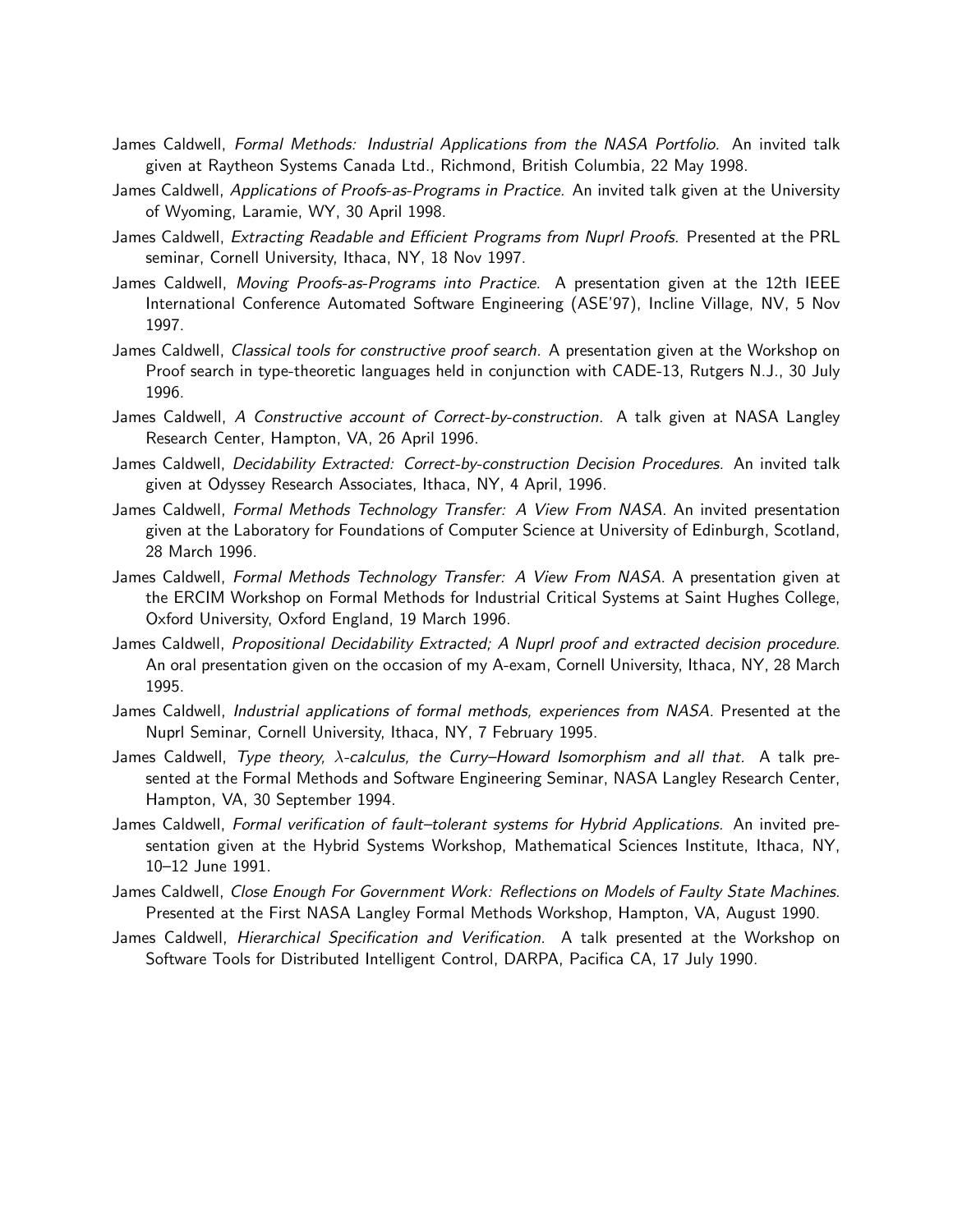- James Caldwell, Formal Methods: Industrial Applications from the NASA Portfolio. An invited talk given at Raytheon Systems Canada Ltd., Richmond, British Columbia, 22 May 1998.
- James Caldwell, Applications of Proofs-as-Programs in Practice. An invited talk given at the University of Wyoming, Laramie, WY, 30 April 1998.
- James Caldwell, *Extracting Readable and Efficient Programs from Nuprl Proofs.* Presented at the PRL seminar, Cornell University, Ithaca, NY, 18 Nov 1997.
- James Caldwell, Moving Proofs-as-Programs into Practice. A presentation given at the 12th IEEE International Conference Automated Software Engineering (ASE'97), Incline Village, NV, 5 Nov 1997.
- James Caldwell, Classical tools for constructive proof search. A presentation given at the Workshop on Proof search in type-theoretic languages held in conjunction with CADE-13, Rutgers N.J., 30 July 1996.
- James Caldwell, A Constructive account of Correct-by-construction. A talk given at NASA Langley Research Center, Hampton, VA, 26 April 1996.
- James Caldwell, Decidability Extracted: Correct-by-construction Decision Procedures. An invited talk given at Odyssey Research Associates, Ithaca, NY, 4 April, 1996.
- James Caldwell, Formal Methods Technology Transfer: A View From NASA. An invited presentation given at the Laboratory for Foundations of Computer Science at University of Edinburgh, Scotland, 28 March 1996.
- James Caldwell, Formal Methods Technology Transfer: A View From NASA. A presentation given at the ERCIM Workshop on Formal Methods for Industrial Critical Systems at Saint Hughes College, Oxford University, Oxford England, 19 March 1996.
- James Caldwell, Propositional Decidability Extracted; A Nuprl proof and extracted decision procedure. An oral presentation given on the occasion of my A-exam, Cornell University, Ithaca, NY, 28 March 1995.
- James Caldwell, Industrial applications of formal methods, experiences from NASA. Presented at the Nuprl Seminar, Cornell University, Ithaca, NY, 7 February 1995.
- James Caldwell, Type theory, λ-calculus, the Curry–Howard Isomorphism and all that. A talk presented at the Formal Methods and Software Engineering Seminar, NASA Langley Research Center, Hampton, VA, 30 September 1994.
- James Caldwell, Formal verification of fault-tolerant systems for Hybrid Applications. An invited presentation given at the Hybrid Systems Workshop, Mathematical Sciences Institute, Ithaca, NY, 10–12 June 1991.
- James Caldwell, Close Enough For Government Work: Reflections on Models of Faulty State Machines. Presented at the First NASA Langley Formal Methods Workshop, Hampton, VA, August 1990.
- James Caldwell, *Hierarchical Specification and Verification*. A talk presented at the Workshop on Software Tools for Distributed Intelligent Control, DARPA, Pacifica CA, 17 July 1990.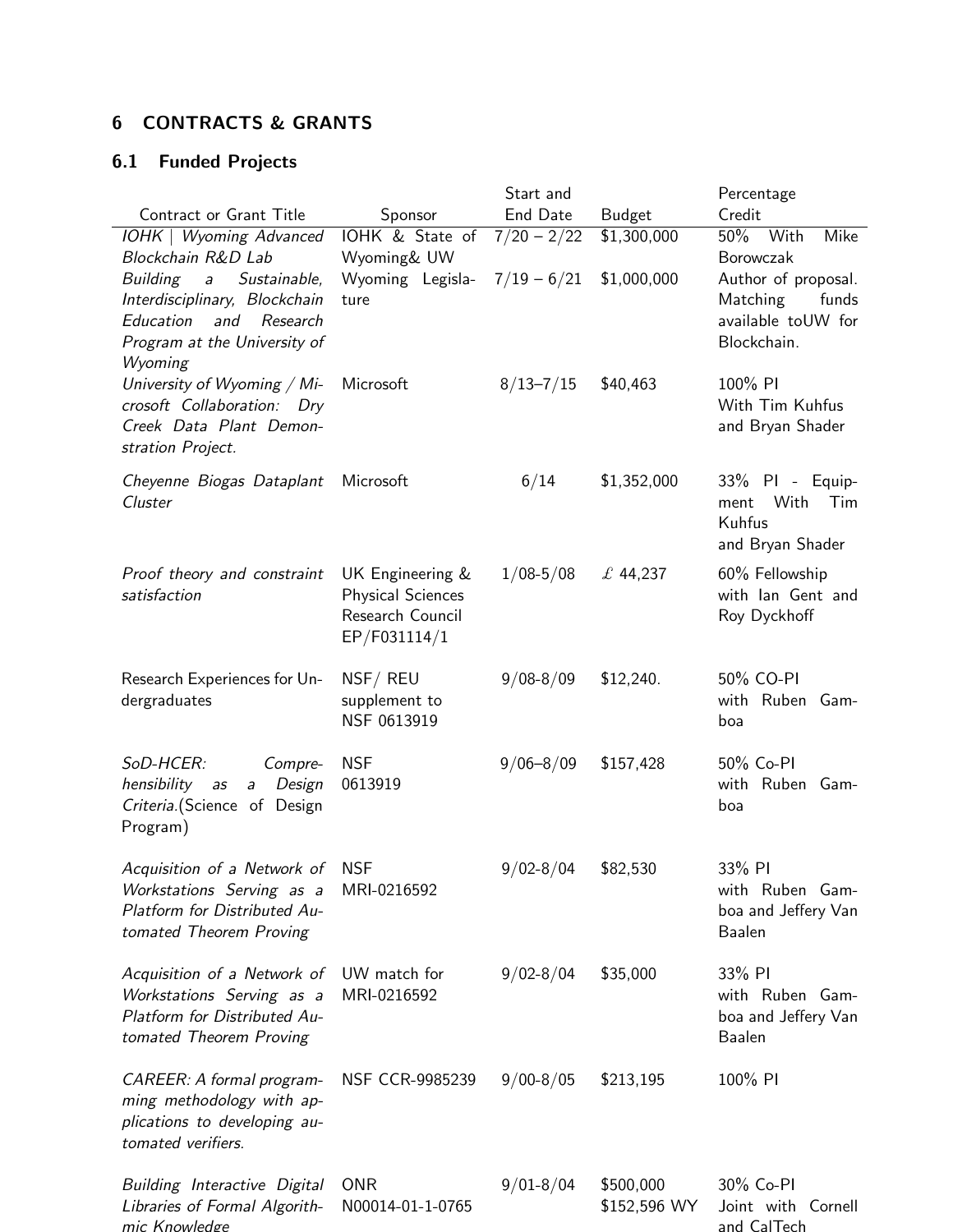## 6 CONTRACTS & GRANTS

# 6.1 Funded Projects

|                                                                                                                                                    |                                                                                  | Start and     |                           | Percentage                                                                    |
|----------------------------------------------------------------------------------------------------------------------------------------------------|----------------------------------------------------------------------------------|---------------|---------------------------|-------------------------------------------------------------------------------|
| Contract or Grant Title                                                                                                                            | Sponsor                                                                          | End Date      | <b>Budget</b>             | Credit                                                                        |
| IOHK   Wyoming Advanced<br>Blockchain R&D Lab                                                                                                      | IOHK & State of<br>Wyoming& UW                                                   | $7/20 - 2/22$ | \$1,300,000               | 50% With<br>Mike<br>Borowczak                                                 |
| Building<br>Sustainable,<br>$\partial$<br>Interdisciplinary, Blockchain<br>Education<br>and<br>Research<br>Program at the University of<br>Wyoming | Wyoming Legisla-<br>ture                                                         | $7/19 - 6/21$ | \$1,000,000               | Author of proposal.<br>Matching<br>funds<br>available toUW for<br>Blockchain. |
| University of Wyoming / Mi-<br>crosoft Collaboration: Dry<br>Creek Data Plant Demon-<br>stration Project.                                          | Microsoft                                                                        | $8/13 - 7/15$ | \$40,463                  | 100% PI<br>With Tim Kuhfus<br>and Bryan Shader                                |
| Cheyenne Biogas Dataplant<br>Cluster                                                                                                               | Microsoft                                                                        | 6/14          | \$1,352,000               | 33% PI - Equip-<br>With<br>Tim<br>ment<br>Kuhfus<br>and Bryan Shader          |
| Proof theory and constraint<br>satisfaction                                                                                                        | UK Engineering &<br><b>Physical Sciences</b><br>Research Council<br>EP/F031114/1 | $1/08 - 5/08$ | £44,237                   | 60% Fellowship<br>with lan Gent and<br>Roy Dyckhoff                           |
| Research Experiences for Un-<br>dergraduates                                                                                                       | NSF/REU<br>supplement to<br>NSF 0613919                                          | $9/08 - 8/09$ | \$12,240.                 | 50% CO-PI<br>with Ruben Gam-<br>boa                                           |
| SoD-HCER:<br>Compre-<br>Design<br>hensibility<br>a <sub>S</sub><br>$\overline{a}$<br>Criteria. (Science of Design<br>Program)                      | <b>NSF</b><br>0613919                                                            | $9/06 - 8/09$ | \$157,428                 | 50% Co-PI<br>with Ruben Gam-<br>boa                                           |
| Acquisition of a Network of NSF<br>Workstations Serving as a<br>Platform for Distributed Au-<br>tomated Theorem Proving                            | MRI-0216592                                                                      | $9/02 - 8/04$ | \$82,530                  | 33% PI<br>with Ruben Gam-<br>boa and Jeffery Van<br>Baalen                    |
| Acquisition of a Network of<br>Workstations Serving as a<br>Platform for Distributed Au-<br>tomated Theorem Proving                                | UW match for<br>MRI-0216592                                                      | $9/02 - 8/04$ | \$35,000                  | 33% PI<br>with Ruben Gam-<br>boa and Jeffery Van<br><b>Baalen</b>             |
| CAREER: A formal program-<br>ming methodology with ap-<br>plications to developing au-<br>tomated verifiers.                                       | NSF CCR-9985239                                                                  | $9/00 - 8/05$ | \$213,195                 | 100% PI                                                                       |
| Building Interactive Digital<br>Libraries of Formal Algorith-<br>mic Knowledge                                                                     | <b>ONR</b><br>N00014-01-1-0765                                                   | $9/01 - 8/04$ | \$500,000<br>\$152,596 WY | 30% Co-PI<br>Joint with Cornell<br>and CalTech                                |